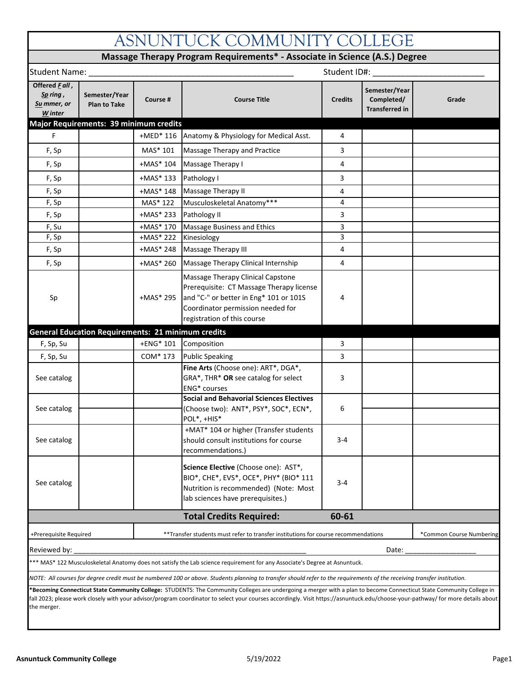| ASNUNTUCK COMMUNITY COLLEGE                                                |                                                                                       |                        |                                                                                                                                                                                                                                                                                                                                                          |                |                                                      |       |  |  |  |
|----------------------------------------------------------------------------|---------------------------------------------------------------------------------------|------------------------|----------------------------------------------------------------------------------------------------------------------------------------------------------------------------------------------------------------------------------------------------------------------------------------------------------------------------------------------------------|----------------|------------------------------------------------------|-------|--|--|--|
| Massage Therapy Program Requirements* - Associate in Science (A.S.) Degree |                                                                                       |                        |                                                                                                                                                                                                                                                                                                                                                          |                |                                                      |       |  |  |  |
| Student ID#:<br>Student Name: __                                           |                                                                                       |                        |                                                                                                                                                                                                                                                                                                                                                          |                |                                                      |       |  |  |  |
| Offered Fall,<br>Sp ring,<br>Su mmer, or<br>W inter                        | Semester/Year<br><b>Plan to Take</b><br><b>Major Requirements: 39 minimum credits</b> | Course #               | <b>Course Title</b>                                                                                                                                                                                                                                                                                                                                      | <b>Credits</b> | Semester/Year<br>Completed/<br><b>Transferred in</b> | Grade |  |  |  |
| F                                                                          |                                                                                       | $+$ MED $*$ 116        | Anatomy & Physiology for Medical Asst.                                                                                                                                                                                                                                                                                                                   | 4              |                                                      |       |  |  |  |
| F, Sp                                                                      |                                                                                       | MAS* 101               | Massage Therapy and Practice                                                                                                                                                                                                                                                                                                                             | 3              |                                                      |       |  |  |  |
| F, Sp                                                                      |                                                                                       | $+MAS*104$             | Massage Therapy I                                                                                                                                                                                                                                                                                                                                        | 4              |                                                      |       |  |  |  |
|                                                                            |                                                                                       |                        |                                                                                                                                                                                                                                                                                                                                                          |                |                                                      |       |  |  |  |
| F, Sp                                                                      |                                                                                       | $+MAS*133$             | Pathology I                                                                                                                                                                                                                                                                                                                                              | 3              |                                                      |       |  |  |  |
| F, Sp                                                                      |                                                                                       | $+MAS*148$             | Massage Therapy II                                                                                                                                                                                                                                                                                                                                       | 4              |                                                      |       |  |  |  |
| F, Sp                                                                      |                                                                                       | MAS* 122               | Musculoskeletal Anatomy***                                                                                                                                                                                                                                                                                                                               | 4              |                                                      |       |  |  |  |
| F, Sp                                                                      |                                                                                       | $+MAS* 233$            | Pathology II                                                                                                                                                                                                                                                                                                                                             | 3              |                                                      |       |  |  |  |
| F, Su                                                                      |                                                                                       | +MAS* 170              | Massage Business and Ethics                                                                                                                                                                                                                                                                                                                              | 3<br>3         |                                                      |       |  |  |  |
| F, Sp<br>F, Sp                                                             |                                                                                       | +MAS* 222<br>+MAS* 248 | Kinesiology<br>Massage Therapy III                                                                                                                                                                                                                                                                                                                       | 4              |                                                      |       |  |  |  |
|                                                                            |                                                                                       |                        |                                                                                                                                                                                                                                                                                                                                                          |                |                                                      |       |  |  |  |
| F, Sp                                                                      |                                                                                       | +MAS* 260              | Massage Therapy Clinical Internship                                                                                                                                                                                                                                                                                                                      | 4              |                                                      |       |  |  |  |
| Sp                                                                         |                                                                                       | +MAS* 295              | Massage Therapy Clinical Capstone<br>Prerequisite: CT Massage Therapy license<br>and "C-" or better in Eng* 101 or 101S<br>Coordinator permission needed for<br>registration of this course                                                                                                                                                              | 4              |                                                      |       |  |  |  |
|                                                                            | <b>General Education Requirements: 21 minimum credits</b>                             |                        |                                                                                                                                                                                                                                                                                                                                                          |                |                                                      |       |  |  |  |
| F, Sp, Su                                                                  |                                                                                       | +ENG* 101              | Composition                                                                                                                                                                                                                                                                                                                                              | 3              |                                                      |       |  |  |  |
| F, Sp, Su                                                                  |                                                                                       | COM* 173               | <b>Public Speaking</b>                                                                                                                                                                                                                                                                                                                                   | 3              |                                                      |       |  |  |  |
| See catalog                                                                |                                                                                       |                        | Fine Arts (Choose one): ART*, DGA*,<br>GRA*, THR* OR see catalog for select<br>ENG* courses                                                                                                                                                                                                                                                              | 3              |                                                      |       |  |  |  |
| See catalog                                                                |                                                                                       |                        | <b>Social and Behavorial Sciences Electives</b><br>(Choose two): ANT*, PSY*, SOC*, ECN*,<br>POL*, +HIS*                                                                                                                                                                                                                                                  | 6              |                                                      |       |  |  |  |
| See catalog                                                                |                                                                                       |                        | +MAT* 104 or higher (Transfer students<br>should consult institutions for course<br>recommendations.)                                                                                                                                                                                                                                                    | $3 - 4$        |                                                      |       |  |  |  |
| See catalog                                                                |                                                                                       |                        | Science Elective (Choose one): AST*,<br>BIO*, CHE*, EVS*, OCE*, PHY* (BIO* 111<br>Nutrition is recommended) (Note: Most<br>lab sciences have prerequisites.)                                                                                                                                                                                             | $3 - 4$        |                                                      |       |  |  |  |
|                                                                            |                                                                                       |                        | <b>Total Credits Required:</b>                                                                                                                                                                                                                                                                                                                           | 60-61          |                                                      |       |  |  |  |
| +Prerequisite Required                                                     |                                                                                       |                        | ** Transfer students must refer to transfer institutions for course recommendations<br>*Common Course Numbering                                                                                                                                                                                                                                          |                |                                                      |       |  |  |  |
| Reviewed by:<br>Date:                                                      |                                                                                       |                        |                                                                                                                                                                                                                                                                                                                                                          |                |                                                      |       |  |  |  |
|                                                                            |                                                                                       |                        | *** MAS* 122 Musculoskeletal Anatomy does not satisfy the Lab science requirement for any Associate's Degree at Asnuntuck.                                                                                                                                                                                                                               |                |                                                      |       |  |  |  |
|                                                                            |                                                                                       |                        | NOTE: All courses for degree credit must be numbered 100 or above. Students planning to transfer should refer to the requirements of the receiving transfer institution.                                                                                                                                                                                 |                |                                                      |       |  |  |  |
|                                                                            |                                                                                       |                        | *Becoming Connecticut State Community College: STUDENTS: The Community Colleges are undergoing a merger with a plan to become Connecticut State Community College in<br>fall 2023; please work closely with your advisor/program coordinator to select your courses accordingly. Visit https://asnuntuck.edu/choose-your-pathway/ for more details about |                |                                                      |       |  |  |  |

the merger.